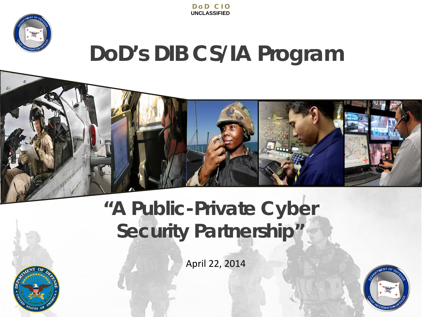



# **DoD's DIB CS/IA Program**



## **"A Public-Private Cyber Security Partnership"**

April 22, 2014



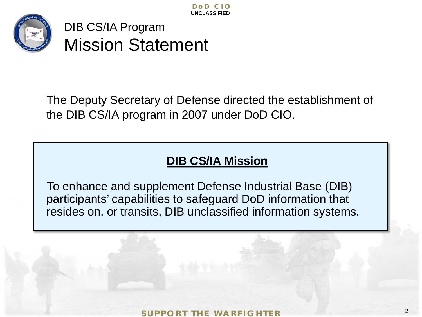

Mission Statement

The Deputy Secretary of Defense directed the establishment of the DIB CS/IA program in 2007 under DoD CIO.

### **DIB CS/IA Mission**

DIB CS/IA Program<br>
Mission Statement<br>
Peputy Secretary of Defense directed th<br>
DIB CS/IA program in 2007 under DoD C<br>
DIB CS/IA Mission<br>
Enhance and supplement Defense Industricipants' capabilities to safeguard DoD intides To enhance and supplement Defense Industrial Base (DIB) participants' capabilities to safeguard DoD information that resides on, or transits, DIB unclassified information systems.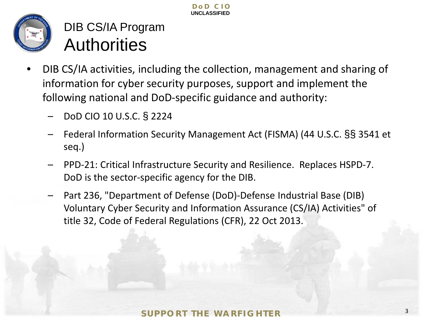

**Authorities** 

- DIB CS/IA Program<br> **Authorities**<br>
CS/IA activities, including the collection, manamation for cyber security purposes, support a<br>
wing national and DoD-specific guidance and<br>
DoD CIO 10 U.S.C. § 2224<br>
Federal Information Se • DIB CS/IA activities, including the collection, management and sharing of information for cyber security purposes, support and implement the following national and DoD-specific guidance and authority:
	- DoD CIO 10 U.S.C. § 2224
	- Federal Information Security Management Act (FISMA) (44 U.S.C. §§ 3541 et seq.)
	- PPD-21: Critical Infrastructure Security and Resilience. Replaces HSPD-7. DoD is the sector-specific agency for the DIB.
	- Part 236, "Department of Defense (DoD)-Defense Industrial Base (DIB) Voluntary Cyber Security and Information Assurance (CS/IA) Activities" of title 32, Code of Federal Regulations (CFR), 22 Oct 2013.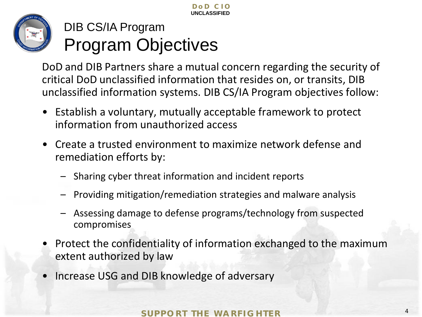

## DIB CS/IA Program Program Objectives

**SUPPORT THE WARFIGHTER**<br>
SUPPORT THE WARFIGHTER<br>
SUPPORT THE WARFIGHTER<br>
SUPPORT THE WARFIGHTER<br>
SUPPORT THE WARFIGHTER<br>
SUPPORT THE WARFIGHTER<br>
SUPPORT THE WARFIGHTER<br>
SUPPORT THE WARFIGHTER<br>
SUPPORT THE WARFIGHTER<br>
SUPP critical DoD unclassified information that resides on, or transits, DIB unclassified information systems. DIB CS/IA Program objectives follow:

- Establish a voluntary, mutually acceptable framework to protect information from unauthorized access
- Create a trusted environment to maximize network defense and remediation efforts by:
	- Sharing cyber threat information and incident reports
	- Providing mitigation/remediation strategies and malware analysis
	- Assessing damage to defense programs/technology from suspected compromises
- Protect the confidentiality of information exchanged to the maximum extent authorized by law
- Increase USG and DIB knowledge of adversary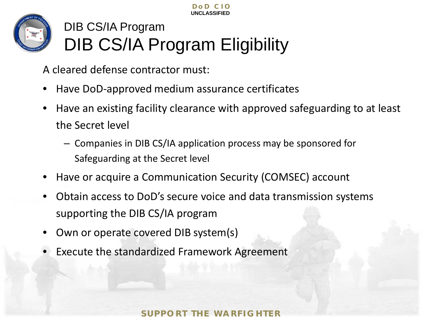



## DIB CS/IA Program DIB CS/IA Program Eligibility

A cleared defense contractor must:

- Have DoD-approved medium assurance certificates
- Have an existing facility clearance with approved safeguarding to at least the Secret level
	- ‒ Companies in DIB CS/IA application process may be sponsored for Safeguarding at the Secret level
- Have or acquire a Communication Security (COMSEC) account
- Obtain access to DoD's secure voice and data transmission systems supporting the DIB CS/IA program
- Own or operate covered DIB system(s)
- Execute the standardized Framework Agreement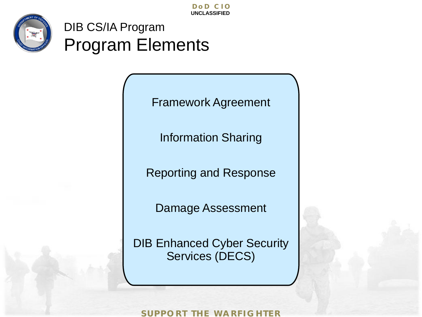

DIB CS/IA Program Program Elements

Framework Agreement

Information Sharing

Reporting and Response

Damage Assessment

DIB Enhanced Cyber Security Services (DECS)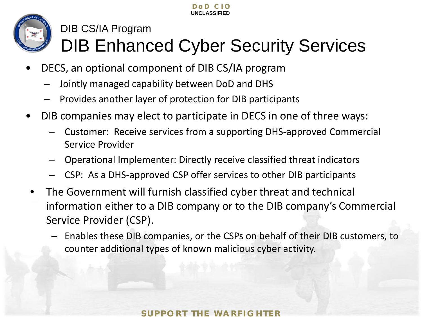

### DIB CS/IA Program DIB Enhanced Cyber Security Services

- DECS, an optional component of DIB CS/IA program
	- Jointly managed capability between DoD and DHS
	- Provides another layer of protection for DIB participants
- DIB companies may elect to participate in DECS in one of three ways:
	- Customer: Receive services from a supporting DHS-approved Commercial Service Provider
	- Operational Implementer: Directly receive classified threat indicators
	- CSP: As a DHS-approved CSP offer services to other DIB participants
- The Government will furnish classified cyber threat and technical information either to a DIB company or to the DIB company's Commercial Service Provider (CSP).
	- Enables these DIB companies, or the CSPs on behalf of their DIB customers, to counter additional types of known malicious cyber activity.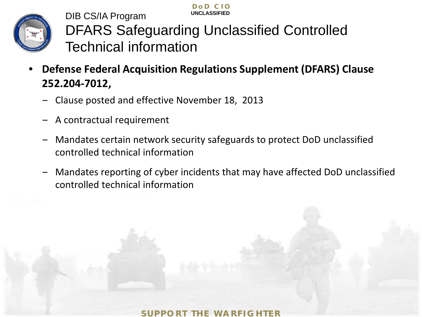

**UNCLASSIFIED** DIB CS/IA Program DFARS Safeguarding Unclassified Controlled Technical information

**DoD CI O**

- **Defense Federal Acquisition Regulations Supplement (DFARS) Clause 252.204-7012,** 
	- ‒ Clause posted and effective November 18, 2013
	- ‒ A contractual requirement
	- ‒ Mandates certain network security safeguards to protect DoD unclassified controlled technical information
	- ‒ Mandates reporting of cyber incidents that may have affected DoD unclassified controlled technical information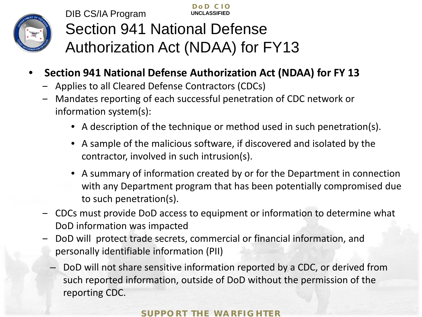

**DoD CI O UNCLASSIFIED** DIB CS/IA Program Section 941 National Defense Authorization Act (NDAA) for FY13

- **Section 941 National Defense Authorization Act (NDAA) for FY 13**
	- ‒ Applies to all Cleared Defense Contractors (CDCs)
	- ‒ Mandates reporting of each successful penetration of CDC network or information system(s):
		- A description of the technique or method used in such penetration(s).
		- A sample of the malicious software, if discovered and isolated by the contractor, involved in such intrusion(s).
		- A summary of information created by or for the Department in connection with any Department program that has been potentially compromised due to such penetration(s).
	- ‒ CDCs must provide DoD access to equipment or information to determine what DoD information was impacted
	- ‒ DoD will protect trade secrets, commercial or financial information, and personally identifiable information (PII)
		- DoD will not share sensitive information reported by a CDC, or derived from such reported information, outside of DoD without the permission of the reporting CDC.